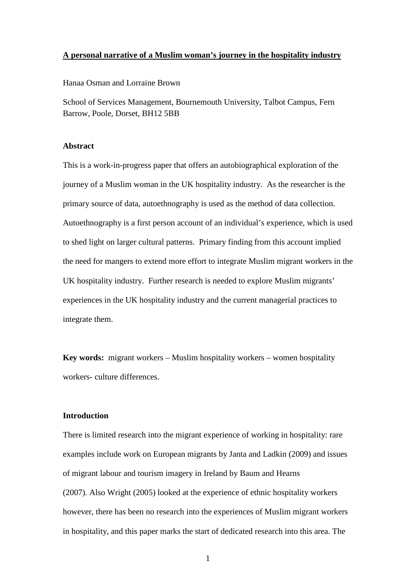### **A personal narrative of a Muslim woman's journey in the hospitality industry**

Hanaa Osman and Lorraine Brown

School of Services Management, Bournemouth University, Talbot Campus, Fern Barrow, Poole, Dorset, BH12 5BB

## **Abstract**

This is a work-in-progress paper that offers an autobiographical exploration of the journey of a Muslim woman in the UK hospitality industry. As the researcher is the primary source of data, autoethnography is used as the method of data collection. Autoethnography is a first person account of an individual's experience, which is used to shed light on larger cultural patterns. Primary finding from this account implied the need for mangers to extend more effort to integrate Muslim migrant workers in the UK hospitality industry. Further research is needed to explore Muslim migrants' experiences in the UK hospitality industry and the current managerial practices to integrate them.

**Key words:** migrant workers – Muslim hospitality workers – women hospitality workers- culture differences.

## **Introduction**

There is limited research into the migrant experience of working in hospitality: rare examples include work on European migrants by Janta and Ladkin (2009) and issues of migrant labour and tourism imagery in Ireland by Baum and Hearns (2007). Also Wright (2005) looked at the experience of ethnic hospitality workers however, there has been no research into the experiences of Muslim migrant workers in hospitality, and this paper marks the start of dedicated research into this area. The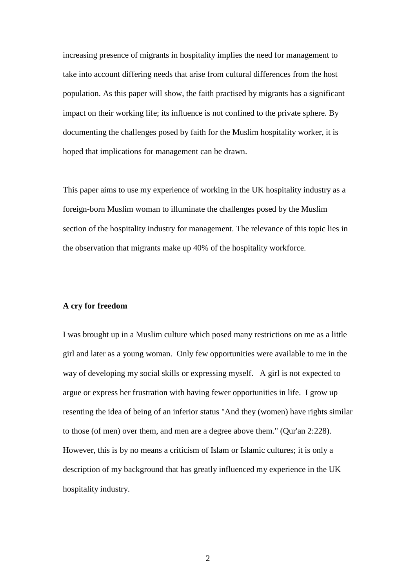increasing presence of migrants in hospitality implies the need for management to take into account differing needs that arise from cultural differences from the host population. As this paper will show, the faith practised by migrants has a significant impact on their working life; its influence is not confined to the private sphere. By documenting the challenges posed by faith for the Muslim hospitality worker, it is hoped that implications for management can be drawn.

This paper aims to use my experience of working in the UK hospitality industry as a foreign-born Muslim woman to illuminate the challenges posed by the Muslim section of the hospitality industry for management. The relevance of this topic lies in the observation that migrants make up 40% of the hospitality workforce.

## **A cry for freedom**

I was brought up in a Muslim culture which posed many restrictions on me as a little girl and later as a young woman. Only few opportunities were available to me in the way of developing my social skills or expressing myself. A girl is not expected to argue or express her frustration with having fewer opportunities in life. I grow up resenting the idea of being of an inferior status "And they (women) have rights similar to those (of men) over them, and men are a degree above them." (Qur'an 2:228). However, this is by no means a criticism of Islam or Islamic cultures; it is only a description of my background that has greatly influenced my experience in the UK hospitality industry.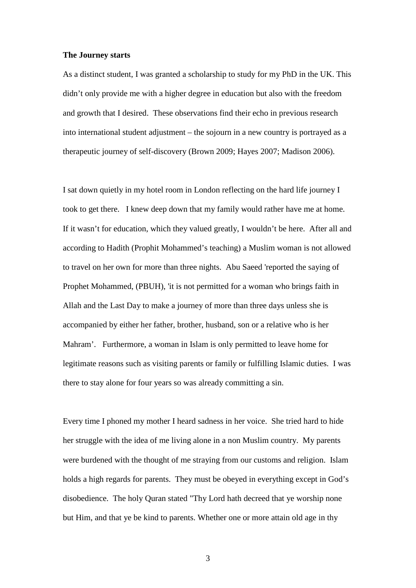## **The Journey starts**

As a distinct student, I was granted a scholarship to study for my PhD in the UK. This didn't only provide me with a higher degree in education but also with the freedom and growth that I desired. These observations find their echo in previous research into international student adjustment – the sojourn in a new country is portrayed as a therapeutic journey of self-discovery (Brown 2009; Hayes 2007; Madison 2006).

I sat down quietly in my hotel room in London reflecting on the hard life journey I took to get there. I knew deep down that my family would rather have me at home. If it wasn't for education, which they valued greatly, I wouldn't be here. After all and according to Hadith (Prophit Mohammed's teaching) a Muslim woman is not allowed to travel on her own for more than three nights. Abu Saeed 'reported the saying of Prophet Mohammed, (PBUH), 'it is not permitted for a woman who brings faith in Allah and the Last Day to make a journey of more than three days unless she is accompanied by either her father, brother, husband, son or a relative who is her Mahram'. Furthermore, a woman in Islam is only permitted to leave home for legitimate reasons such as visiting parents or family or fulfilling Islamic duties. I was there to stay alone for four years so was already committing a sin.

Every time I phoned my mother I heard sadness in her voice. She tried hard to hide her struggle with the idea of me living alone in a non Muslim country. My parents were burdened with the thought of me straying from our customs and religion. Islam holds a high regards for parents. They must be obeyed in everything except in God's disobedience. The holy Quran stated "Thy Lord hath decreed that ye worship none but Him, and that ye be kind to parents. Whether one or more attain old age in thy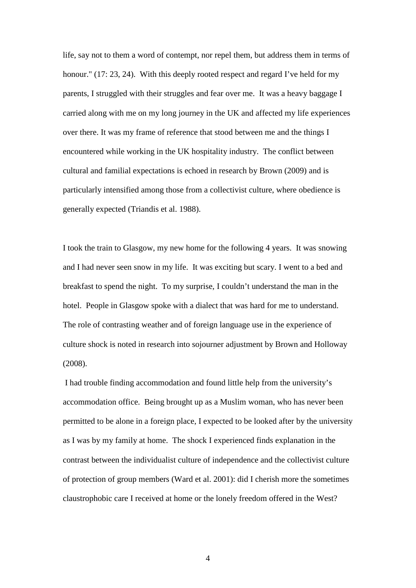life, say not to them a word of contempt, nor repel them, but address them in terms of honour." (17: 23, 24). With this deeply rooted respect and regard I've held for my parents, I struggled with their struggles and fear over me. It was a heavy baggage I carried along with me on my long journey in the UK and affected my life experiences over there. It was my frame of reference that stood between me and the things I encountered while working in the UK hospitality industry. The conflict between cultural and familial expectations is echoed in research by Brown (2009) and is particularly intensified among those from a collectivist culture, where obedience is generally expected (Triandis et al. 1988).

I took the train to Glasgow, my new home for the following 4 years. It was snowing and I had never seen snow in my life. It was exciting but scary. I went to a bed and breakfast to spend the night. To my surprise, I couldn't understand the man in the hotel. People in Glasgow spoke with a dialect that was hard for me to understand. The role of contrasting weather and of foreign language use in the experience of culture shock is noted in research into sojourner adjustment by Brown and Holloway (2008).

I had trouble finding accommodation and found little help from the university's accommodation office. Being brought up as a Muslim woman, who has never been permitted to be alone in a foreign place, I expected to be looked after by the university as I was by my family at home. The shock I experienced finds explanation in the contrast between the individualist culture of independence and the collectivist culture of protection of group members (Ward et al. 2001): did I cherish more the sometimes claustrophobic care I received at home or the lonely freedom offered in the West?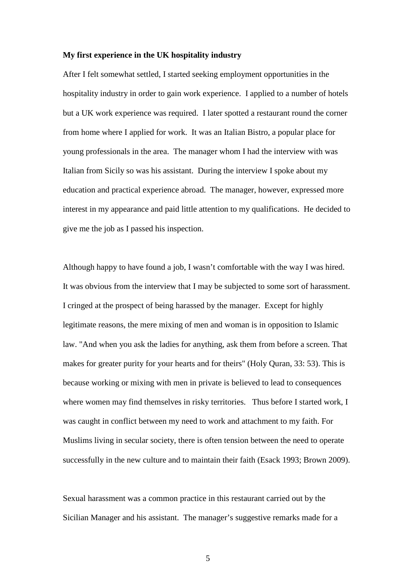## **My first experience in the UK hospitality industry**

After I felt somewhat settled, I started seeking employment opportunities in the hospitality industry in order to gain work experience. I applied to a number of hotels but a UK work experience was required. I later spotted a restaurant round the corner from home where I applied for work. It was an Italian Bistro, a popular place for young professionals in the area. The manager whom I had the interview with was Italian from Sicily so was his assistant. During the interview I spoke about my education and practical experience abroad. The manager, however, expressed more interest in my appearance and paid little attention to my qualifications. He decided to give me the job as I passed his inspection.

Although happy to have found a job, I wasn't comfortable with the way I was hired. It was obvious from the interview that I may be subjected to some sort of harassment. I cringed at the prospect of being harassed by the manager. Except for highly legitimate reasons, the mere mixing of men and woman is in opposition to Islamic law. "And when you ask the ladies for anything, ask them from before a screen. That makes for greater purity for your hearts and for theirs" (Holy Quran, 33: 53). This is because working or mixing with men in private is believed to lead to consequences where women may find themselves in risky territories. Thus before I started work, I was caught in conflict between my need to work and attachment to my faith. For Muslims living in secular society, there is often tension between the need to operate successfully in the new culture and to maintain their faith (Esack 1993; Brown 2009).

Sexual harassment was a common practice in this restaurant carried out by the Sicilian Manager and his assistant. The manager's suggestive remarks made for a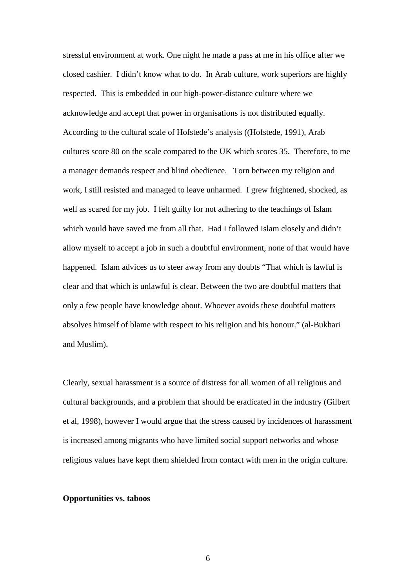stressful environment at work. One night he made a pass at me in his office after we closed cashier. I didn't know what to do. In Arab culture, work superiors are highly respected. This is embedded in our high-power-distance culture where we acknowledge and accept that power in organisations is not distributed equally. According to the cultural scale of Hofstede's analysis ((Hofstede, 1991), Arab cultures score 80 on the scale compared to the UK which scores 35. Therefore, to me a manager demands respect and blind obedience. Torn between my religion and work, I still resisted and managed to leave unharmed. I grew frightened, shocked, as well as scared for my job. I felt guilty for not adhering to the teachings of Islam which would have saved me from all that. Had I followed Islam closely and didn't allow myself to accept a job in such a doubtful environment, none of that would have happened. Islam advices us to steer away from any doubts "That which is lawful is clear and that which is unlawful is clear. Between the two are doubtful matters that only a few people have knowledge about. Whoever avoids these doubtful matters absolves himself of blame with respect to his religion and his honour." (al-Bukhari and Muslim).

Clearly, sexual harassment is a source of distress for all women of all religious and cultural backgrounds, and a problem that should be eradicated in the industry (Gilbert et al, 1998), however I would argue that the stress caused by incidences of harassment is increased among migrants who have limited social support networks and whose religious values have kept them shielded from contact with men in the origin culture.

## **Opportunities vs. taboos**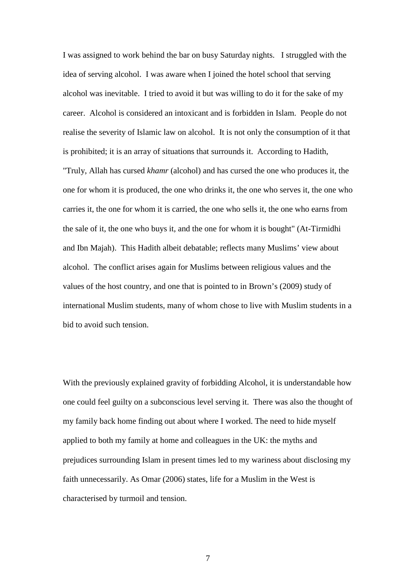I was assigned to work behind the bar on busy Saturday nights. I struggled with the idea of serving alcohol. I was aware when I joined the hotel school that serving alcohol was inevitable. I tried to avoid it but was willing to do it for the sake of my career. Alcohol is considered an intoxicant and is forbidden in Islam. People do not realise the severity of Islamic law on alcohol. It is not only the consumption of it that is prohibited; it is an array of situations that surrounds it. According to Hadith, "Truly, Allah has cursed *khamr* (alcohol) and has cursed the one who produces it, the one for whom it is produced, the one who drinks it, the one who serves it, the one who carries it, the one for whom it is carried, the one who sells it, the one who earns from the sale of it, the one who buys it, and the one for whom it is bought" (At-Tirmidhi and Ibn Majah). This Hadith albeit debatable; reflects many Muslims' view about alcohol. The conflict arises again for Muslims between religious values and the values of the host country, and one that is pointed to in Brown's (2009) study of international Muslim students, many of whom chose to live with Muslim students in a bid to avoid such tension.

With the previously explained gravity of forbidding Alcohol, it is understandable how one could feel guilty on a subconscious level serving it. There was also the thought of my family back home finding out about where I worked. The need to hide myself applied to both my family at home and colleagues in the UK: the myths and prejudices surrounding Islam in present times led to my wariness about disclosing my faith unnecessarily. As Omar (2006) states, life for a Muslim in the West is characterised by turmoil and tension.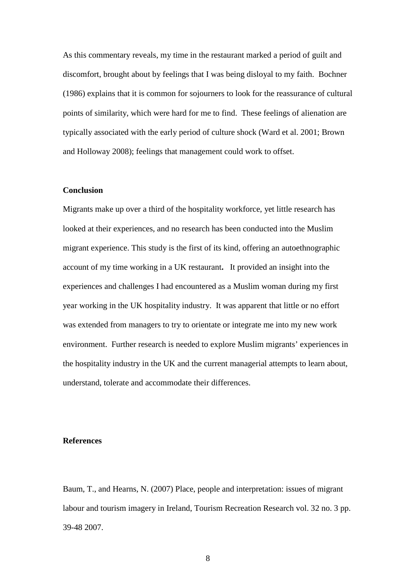As this commentary reveals, my time in the restaurant marked a period of guilt and discomfort, brought about by feelings that I was being disloyal to my faith. Bochner (1986) explains that it is common for sojourners to look for the reassurance of cultural points of similarity, which were hard for me to find. These feelings of alienation are typically associated with the early period of culture shock (Ward et al. 2001; Brown and Holloway 2008); feelings that management could work to offset.

## **Conclusion**

Migrants make up over a third of the hospitality workforce, yet little research has looked at their experiences, and no research has been conducted into the Muslim migrant experience. This study is the first of its kind, offering an autoethnographic account of my time working in a UK restaurant**.** It provided an insight into the experiences and challenges I had encountered as a Muslim woman during my first year working in the UK hospitality industry. It was apparent that little or no effort was extended from managers to try to orientate or integrate me into my new work environment. Further research is needed to explore Muslim migrants' experiences in the hospitality industry in the UK and the current managerial attempts to learn about, understand, tolerate and accommodate their differences.

## **References**

Baum, T., and Hearns, N. (2007) Place, people and interpretation: issues of migrant labour and tourism imagery in Ireland, Tourism Recreation Research vol. 32 no. 3 pp. 39-48 2007.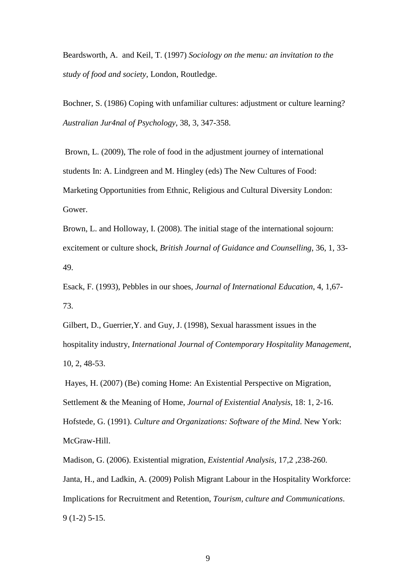Beardsworth, A. and Keil, T. (1997) *Sociology on the menu: an invitation to the study of food and society*, London, Routledge.

Bochner, S. (1986) Coping with unfamiliar cultures: adjustment or culture learning? *Australian Jur4nal of Psychology*, 38, 3, 347-358.

Brown, L. (2009), The role of food in the adjustment journey of international students In: A. Lindgreen and M. Hingley (eds) The New Cultures of Food: Marketing Opportunities from Ethnic, Religious and Cultural Diversity London: Gower.

Brown, L. and Holloway, I. (2008). The initial stage of the international sojourn: excitement or culture shock, *British Journal of Guidance and Counselling*, 36, 1, 33- 49.

Esack, F. (1993), Pebbles in our shoes, *Journal of International Education*, 4, 1,67- 73.

Gilbert, D., Guerrier,Y. and Guy, J. (1998), Sexual harassment issues in the hospitality industry, *International Journal of Contemporary Hospitality Management*, 10, 2, 48-53.

Hayes, H. (2007) (Be) coming Home: An Existential Perspective on Migration, Settlement & the Meaning of Home, *Journal of Existential Analysis*, 18: 1, 2-16. Hofstede, G. (1991). *Culture and Organizations: Software of the Mind*. New York: McGraw-Hill.

Madison, G. (2006). Existential migration, *Existential Analysis*, 17,2 ,238-260. Janta, H., and Ladkin, A. (2009) Polish Migrant Labour in the Hospitality Workforce: Implications for Recruitment and Retention, *Tourism, culture and Communications*. 9 (1-2) 5-15.